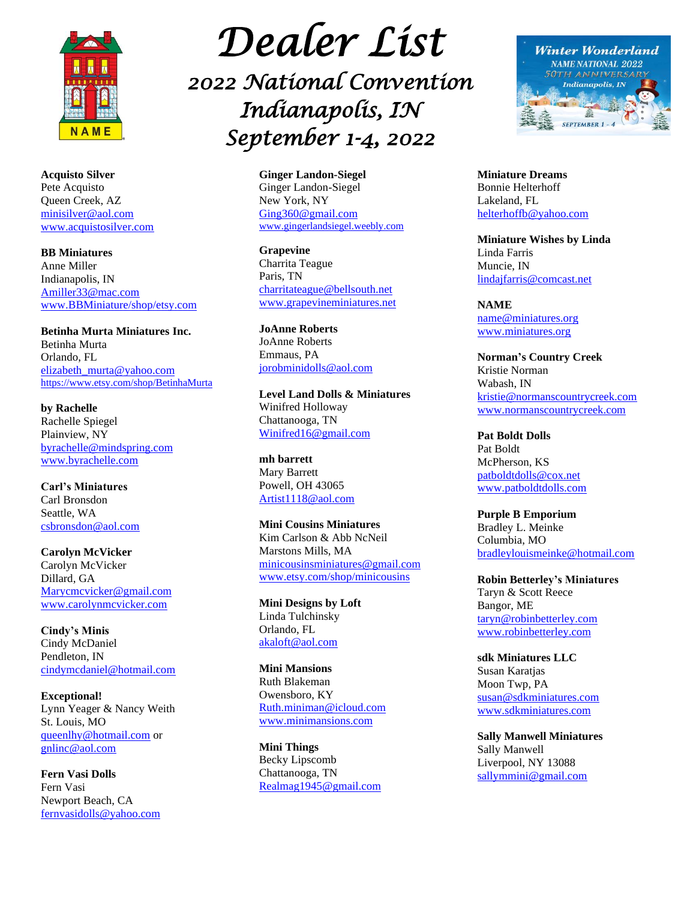

**Acquisto Silver** Pete Acquisto Queen Creek, AZ [minisilver@aol.com](mailto:minisilver@aol.com) [www.acquistosilver.com](http://www.acquistosilver.com/)

## **BB Miniatures**

Anne Miller Indianapolis, IN [Amiller33@mac.com](mailto:Amiller33@mac.com) [www.BBMiniature/shop/etsy.com](http://www.bbminiature/shop/etsy.com)

**Betinha Murta Miniatures Inc.** Betinha Murta Orlando, FL [elizabeth\\_murta@yahoo.com](mailto:elizabeth_murta@yahoo.com) <https://www.etsy.com/shop/BetinhaMurta>

**by Rachelle** Rachelle Spiegel Plainview, NY [byrachelle@mindspring.com](mailto:byrachelle@mindspring.com) [www.byrachelle.com](http://www.byrachelle.com/)

**Carl's Miniatures** Carl Bronsdon Seattle, WA [csbronsdon@aol.com](mailto:csbronsdon@aol.com)

**Carolyn McVicker** Carolyn McVicker Dillard, GA [Marycmcvicker@gmail.com](mailto:Marycmcvicker@gmail.com) [www.carolynmcvicker.com](http://www.carolynmcvicker.com/)

**Cindy's Minis** Cindy McDaniel Pendleton, IN [cindymcdaniel@hotmail.com](mailto:cindymcdaniel@hotmail.com)

**Exceptional!** Lynn Yeager & Nancy Weith St. Louis, MO [queenlhy@hotmail.com](mailto:queenlhy@hotmail.com) or [gnlinc@aol.com](mailto:gnlinc@aol.com)

**Fern Vasi Dolls** Fern Vasi Newport Beach, CA [fernvasidolls@yahoo.com](mailto:fernvasidolls@yahoo.com)

## *Dealer List 2022 National Convention Indianapolis, IN September 1-4, 2022*

**Ginger Landon-Siegel** Ginger Landon-Siegel New York, NY [Ging360@gmail.com](mailto:Ging360@gmail.com) [www.gingerlandsiegel.weebly.com](http://www.gingerlandsiegel.weebly.com/)

**Grapevine** Charrita Teague Paris, TN [charritateague@bellsouth.net](mailto:charritateague@bellsouth.net) [www.grapevineminiatures.net](http://www.grapevineminiatures.net/)

**JoAnne Roberts** JoAnne Roberts Emmaus, PA [jorobminidolls@aol.com](mailto:jorobminidolls@aol.com)

**Level Land Dolls & Miniatures** Winifred Holloway Chattanooga, TN [Winifred16@gmail.com](mailto:Winifred16@gmail.com)

**mh barrett** Mary Barrett Powell, OH 43065 [Artist1118@aol.com](mailto:Artist1118@aol.com)

**Mini Cousins Miniatures** Kim Carlson & Abb NcNeil Marstons Mills, MA [minicousinsminiatures@gmail.com](mailto:minicousinsminiatures@gmail.com) [www.etsy.com/shop/minicousins](http://www.etsy.com/shop/minicousins)

**Mini Designs by Loft** Linda Tulchinsky Orlando, FL [akaloft@aol.com](mailto:akaloft@aol.com)

**Mini Mansions** Ruth Blakeman Owensboro, KY [Ruth.miniman@icloud.com](mailto:Ruth.miniman@icloud.com) [www.minimansions.com](http://www.minimansions.com/)

**Mini Things** Becky Lipscomb Chattanooga, TN [Realmag1945@gmail.com](mailto:Realmag1945@gmail.com)



**Miniature Dreams** Bonnie Helterhoff Lakeland, FL [helterhoffb@yahoo.com](mailto:helterhoffb@yahoo.com)

**Miniature Wishes by Linda** Linda Farris Muncie, IN [lindajfarris@comcast.net](mailto:lindajfarris@comcast.net)

**NAME** [name@miniatures.org](mailto:name@miniatures.org) [www.miniatures.org](http://www.miniatures.org/)

**Norman's Country Creek** Kristie Norman Wabash, IN [kristie@normanscountrycreek.com](mailto:kristie@normanscountrycreek.com) [www.normanscountrycreek.com](http://www.normanscountrycreek.com/)

**Pat Boldt Dolls** Pat Boldt McPherson, KS [patboldtdolls@cox.net](mailto:patboldtdolls@cox.net) [www.patboldtdolls.com](http://www.patboldtdolls.com/)

**Purple B Emporium** Bradley L. Meinke Columbia, MO [bradleylouismeinke@hotmail.com](mailto:bradleylouismeinke@hotmail.com)

**Robin Betterley's Miniatures** Taryn & Scott Reece Bangor, ME [taryn@robinbetterley.com](mailto:taryn@robinbetterley.com) [www.robinbetterley.com](http://www.robinbetterley.com/)

**sdk Miniatures LLC** Susan Karatjas Moon Twp, PA [susan@sdkminiatures.com](mailto:susan@sdkminiatures.com) [www.sdkminiatures.com](http://www.sdkminiatures.com/)

**Sally Manwell Miniatures** Sally Manwell Liverpool, NY 13088 [sallymmini@gmail.com](mailto:sallymmini@gmail.com)